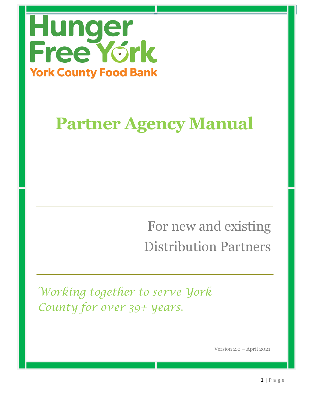

# **Partner Agency Manual**

For new and existing Distribution Partners

*Working together to serve York County for over 39+ years.*

Version 2.0 – April 2021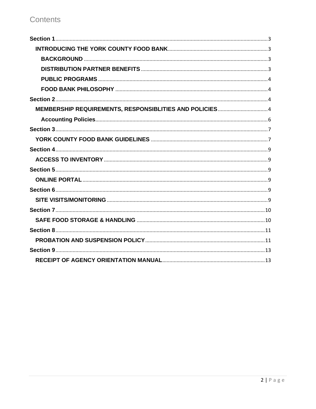### Contents

| MEMBERSHIP REQUIREMENTS, RESPONSIBLITIES AND POLICIES4 |  |
|--------------------------------------------------------|--|
|                                                        |  |
|                                                        |  |
|                                                        |  |
|                                                        |  |
|                                                        |  |
|                                                        |  |
|                                                        |  |
|                                                        |  |
|                                                        |  |
|                                                        |  |
|                                                        |  |
|                                                        |  |
|                                                        |  |
|                                                        |  |
|                                                        |  |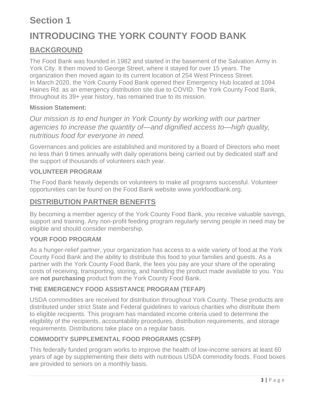### <span id="page-2-0"></span>**Section 1**

# <span id="page-2-1"></span>**INTRODUCING THE YORK COUNTY FOOD BANK**

### <span id="page-2-2"></span>**BACKGROUND**

The Food Bank was founded in 1982 and started in the basement of the Salvation Army in York City. It then moved to George Street, where it stayed for over 15 years. The organization then moved again to its current location of 254 West Princess Street. In March 2020, the York County Food Bank opened their Emergency Hub located at 1094 Haines Rd. as an emergency distribution site due to COVID. The York County Food Bank, throughout its 39+ year history, has remained true to its mission.

#### **Mission Statement:**

*Our mission is to end hunger in York County by working with our partner agencies to increase the quantity of—and dignified access to—high quality, nutritious food for everyone in need.* 

Governances and policies are established and monitored by a Board of Directors who meet no less than 9 times annually with daily operations being carried out by dedicated staff and the support of thousands of volunteers each year.

### **VOLUNTEER PROGRAM**

The Food Bank heavily depends on volunteers to make all programs successful. Volunteer opportunities can be found on the Food Bank website www.yorkfoodbank.org.

### <span id="page-2-3"></span>**DISTRIBUTION PARTNER BENEFITS**

By becoming a member agency of the York County Food Bank, you receive valuable savings, support and training. Any non-profit feeding program regularly serving people in need may be eligible and should consider membership.

#### **YOUR FOOD PROGRAM**

As a hunger-relief partner, your organization has access to a wide variety of food at the York County Food Bank and the ability to distribute this food to your families and guests. As a partner with the York County Food Bank, the fees you pay are your share of the operating costs of receiving, transporting, storing, and handling the product made available to you. You are **not purchasing** product from the York County Food Bank.

### **THE EMERGENCY FOOD ASSISTANCE PROGRAM (TEFAP)**

USDA commodities are received for distribution throughout York County. These products are distributed under strict State and Federal guidelines to various charities who distribute them to eligible recipients. This program has mandated income criteria used to determine the eligibility of the recipients, accountability procedures, distribution requirements, and storage requirements. Distributions take place on a regular basis.

### **COMMODITY SUPPLEMENTAL FOOD PROGRAMS (CSFP)**

This federally funded program works to improve the health of low-income seniors at least 60 years of age by supplementing their diets with nutritious USDA commodity foods. Food boxes are provided to seniors on a monthly basis.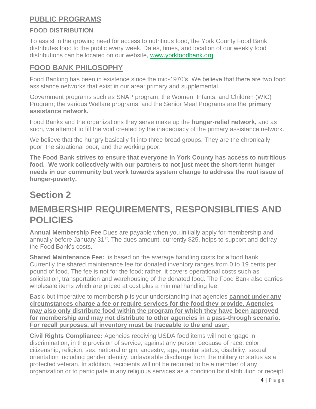### <span id="page-3-0"></span>**PUBLIC PROGRAMS**

### **FOOD DISTRIBUTION**

To assist in the growing need for access to nutritious food, the York County Food Bank distributes food to the public every week. Dates, times, and location of our weekly food distributions can be located on our website, [www.yorkfoodbank.org.](http://www.yorkfoodbank.org/)

### <span id="page-3-1"></span>**FOOD BANK PHILOSOPHY**

Food Banking has been in existence since the mid-1970's. We believe that there are two food assistance networks that exist in our area: primary and supplemental.

Government programs such as SNAP program; the Women, Infants, and Children (WIC) Program; the various Welfare programs; and the Senior Meal Programs are the **primary assistance network.** 

Food Banks and the organizations they serve make up the **hunger-relief network,** and as such, we attempt to fill the void created by the inadequacy of the primary assistance network.

We believe that the hungry basically fit into three broad groups. They are the chronically poor, the situational poor, and the working poor.

**The Food Bank strives to ensure that everyone in York County has access to nutritious food. We work collectively with our partners to not just meet the short-term hunger needs in our community but work towards system change to address the root issue of hunger-poverty.**

### <span id="page-3-2"></span>**Section 2**

### <span id="page-3-3"></span>**MEMBERSHIP REQUIREMENTS, RESPONSIBLITIES AND POLICIES**

**Annual Membership Fee** Dues are payable when you initially apply for membership and annually before January 31<sup>st</sup>. The dues amount, currently \$25, helps to support and defray the Food Bank's costs.

**Shared Maintenance Fee:** is based on the average handling costs for a food bank. Currently the shared maintenance fee for donated inventory ranges from 0 to 19 cents per pound of food. The fee is not for the food; rather, it covers operational costs such as solicitation, transportation and warehousing of the donated food. The Food Bank also carries wholesale items which are priced at cost plus a minimal handling fee.

Basic but imperative to membership is your understanding that agencies **cannot under any circumstances charge a fee or require services for the food they provide. Agencies may also only distribute food within the program for which they have been approved for membership and may not distribute to other agencies in a pass-through scenario. For recall purposes, all inventory must be traceable to the end user.**

**Civil Rights Compliance:** Agencies receiving USDA food items will not engage in discrimination, in the provision of service, against any person because of race, color, citizenship, religion, sex, national origin, ancestry, age, marital status, disability, sexual orientation including gender identity, unfavorable discharge from the military or status as a protected veteran. In addition, recipients will not be required to be a member of any organization or to participate in any religious services as a condition for distribution or receipt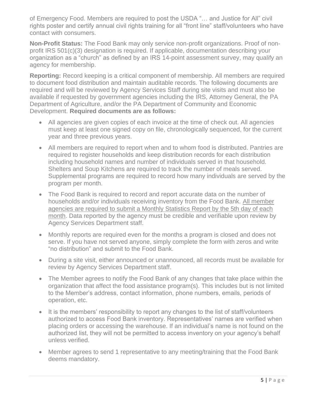of Emergency Food. Members are required to post the USDA "… and Justice for All" civil rights poster and certify annual civil rights training for all "front line" staff/volunteers who have contact with consumers.

**Non-Profit Status:** The Food Bank may only service non-profit organizations. Proof of nonprofit IRS 501(c)(3) designation is required. If applicable, documentation describing your organization as a "church" as defined by an IRS 14-point assessment survey, may qualify an agency for membership.

**Reporting:** Record keeping is a critical component of membership. All members are required to document food distribution and maintain auditable records. The following documents are required and will be reviewed by Agency Services Staff during site visits and must also be available if requested by government agencies including the IRS, Attorney General, the PA Department of Agriculture, and/or the PA Department of Community and Economic Development. **Required documents are as follows:**

- All agencies are given copies of each invoice at the time of check out. All agencies must keep at least one signed copy on file, chronologically sequenced, for the current year and three previous years.
- All members are required to report when and to whom food is distributed. Pantries are required to register households and keep distribution records for each distribution including household names and number of individuals served in that household. Shelters and Soup Kitchens are required to track the number of meals served. Supplemental programs are required to record how many individuals are served by the program per month.
- The Food Bank is required to record and report accurate data on the number of households and/or individuals receiving inventory from the Food Bank. All member agencies are required to submit a Monthly Statistics Report by the 5th day of each month. Data reported by the agency must be credible and verifiable upon review by Agency Services Department staff.
- Monthly reports are required even for the months a program is closed and does not serve. If you have not served anyone, simply complete the form with zeros and write "no distribution" and submit to the Food Bank.
- During a site visit, either announced or unannounced, all records must be available for review by Agency Services Department staff.
- The Member agrees to notify the Food Bank of any changes that take place within the organization that affect the food assistance program(s). This includes but is not limited to the Member's address, contact information, phone numbers, emails, periods of operation, etc.
- It is the members' responsibility to report any changes to the list of staff/volunteers authorized to access Food Bank inventory. Representatives' names are verified when placing orders or accessing the warehouse. If an individual's name is not found on the authorized list, they will not be permitted to access inventory on your agency's behalf unless verified.
- Member agrees to send 1 representative to any meeting/training that the Food Bank deems mandatory.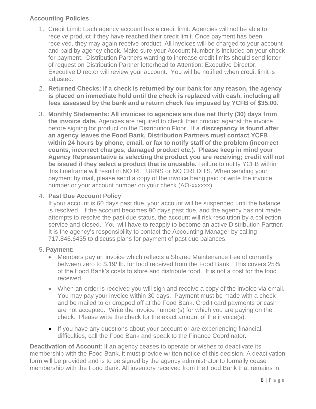### <span id="page-5-0"></span>**Accounting Policies**

- 1. Credit Limit: Each agency account has a credit limit. Agencies will not be able to receive product if they have reached their credit limit. Once payment has been received, they may again receive product. All invoices will be charged to your account and paid by agency check. Make sure your Account Number is included on your check for payment. Distribution Partners wanting to increase credit limits should send letter of request on Distribution Partner letterhead to Attention: Executive Director. Executive Director will review your account. You will be notified when credit limit is adjusted.
- 2. **Returned Checks: If a check is returned by our bank for any reason, the agency is placed on immediate hold until the check is replaced with cash, including all fees assessed by the bank and a return check fee imposed by YCFB of \$35.00.**
- 3. **Monthly Statements: All invoices to agencies are due net thirty (30) days from the invoice date.** Agencies are required to check their product against the invoice before signing for product on the Distribution Floor. If a **discrepancy is found after an agency leaves the Food Bank, Distribution Partners must contact YCFB within 24 hours by phone, email, or fax to notify staff of the problem (incorrect counts, incorrect charges, damaged product etc.). Please keep in mind your Agency Representative is selecting the product you are receiving; credit will not be issued if they select a product that is unusable.** Failure to notify YCFB within this timeframe will result in NO RETURNS or NO CREDITS. When sending your payment by mail, please send a copy of the invoice being paid or write the invoice number or your account number on your check (AO-xxxxxx).

#### 4. **Past Due Account Policy**

If your account is 60 days past due, your account will be suspended until the balance is resolved. If the account becomes 90 days past due, and the agency has not made attempts to resolve the past due status, the account will risk resolution by a collection service and closed. You will have to reapply to become an active Distribution Partner. It is the agency's responsibility to contact the Accounting Manager by calling 717.846.6435 to discuss plans for payment of past due balances.

### 5. **Payment:**

- Members pay an invoice which reflects a Shared Maintenance Fee of currently between zero to \$.19/ lb. for food received from the Food Bank. This covers 25% of the Food Bank's costs to store and distribute food. It is not a cost for the food received.
- When an order is received you will sign and receive a copy of the invoice via email. You may pay your invoice within 30 days. Payment must be made with a check and be mailed to or dropped off at the Food Bank. Credit card payments or cash are not accepted. Write the invoice number(s) for which you are paying on the check. Please write the check for the exact amount of the invoice(s).
- If you have any questions about your account or are experiencing financial difficulties, call the Food Bank and speak to the Finance Coordinator.

**Deactivation of Account**: If an agency ceases to operate or wishes to deactivate its membership with the Food Bank, it must provide written notice of this decision. A deactivation form will be provided and is to be signed by the agency administrator to formally cease membership with the Food Bank. All inventory received from the Food Bank that remains in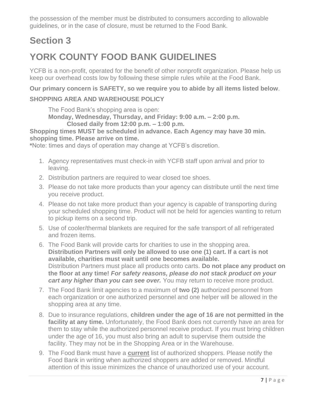the possession of the member must be distributed to consumers according to allowable guidelines, or in the case of closure, must be returned to the Food Bank.

# <span id="page-6-0"></span>**Section 3**

# <span id="page-6-1"></span>**YORK COUNTY FOOD BANK GUIDELINES**

YCFB is a non-profit, operated for the benefit of other nonprofit organization. Please help us keep our overhead costs low by following these simple rules while at the Food Bank.

**Our primary concern is SAFETY, so we require you to abide by all items listed below**.

### **SHOPPING AREA AND WAREHOUSE POLICY**

The Food Bank's shopping area is open:

**Monday, Wednesday, Thursday, and Friday: 9:00 a.m. – 2:00 p.m.** 

**Closed daily from 12:00 p.m. – 1:00 p.m.**

**Shopping times MUST be scheduled in advance. Each Agency may have 30 min. shopping time. Please arrive on time.**

**\***Note: times and days of operation may change at YCFB's discretion.

- 1. Agency representatives must check-in with YCFB staff upon arrival and prior to leaving.
- 2. Distribution partners are required to wear closed toe shoes.
- 3. Please do not take more products than your agency can distribute until the next time you receive product.
- 4. Please do not take more product than your agency is capable of transporting during your scheduled shopping time. Product will not be held for agencies wanting to return to pickup items on a second trip.
- 5. Use of cooler/thermal blankets are required for the safe transport of all refrigerated and frozen items.
- 6. The Food Bank will provide carts for charities to use in the shopping area. **Distribution Partners will only be allowed to use one (1) cart. If a cart is not available, charities must wait until one becomes available.** Distribution Partners must place all products onto carts. **Do not place any product on the floor at any time!** *For safety reasons, please do not stack product on your cart any higher than you can see over. You may return to receive more product.*
- 7. The Food Bank limit agencies to a maximum of **two (2)** authorized personnel from each organization or one authorized personnel and one helper will be allowed in the shopping area at any time.
- 8. Due to insurance regulations, **children under the age of 16 are not permitted in the facility at any time.** Unfortunately, the Food Bank does not currently have an area for them to stay while the authorized personnel receive product. If you must bring children under the age of 16, you must also bring an adult to supervise them outside the facility. They may not be in the Shopping Area or in the Warehouse.
- 9. The Food Bank must have a **current** list of authorized shoppers. Please notify the Food Bank in writing when authorized shoppers are added or removed. Mindful attention of this issue minimizes the chance of unauthorized use of your account.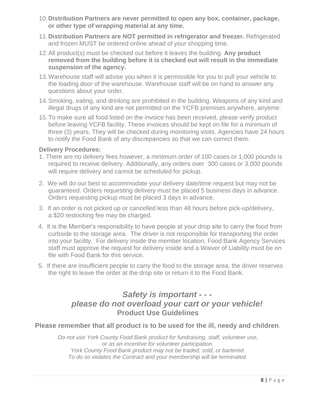- 10.**Distribution Partners are never permitted to open any box, container, package, or other type of wrapping material at any time.**
- 11.**Distribution Partners are NOT permitted in refrigerator and freezer.** Refrigerated and frozen MUST be ordered online ahead of your shopping time.
- 12.All product(s) must be checked out before it leaves the building. **Any product removed from the building before it is checked out will result in the immediate suspension of the agency.**
- 13.Warehouse staff will advise you when it is permissible for you to pull your vehicle to the loading door of the warehouse. Warehouse staff will be on hand to answer any questions about your order.
- 14.Smoking, eating, and drinking are prohibited in the building. Weapons of any kind and illegal drugs of any kind are not permitted on the YCFB premises anywhere, anytime.
- 15.To make sure all food listed on the invoice has been received, please verify product before leaving YCFB facility. These invoices should be kept on file for a minimum of three (3) years. They will be checked during monitoring visits. Agencies have 24 hours to notify the Food Bank of any discrepancies so that we can correct them.

#### **Delivery Procedures:**

- 1. There are no delivery fees however, a minimum order of 100 cases or 1,000 pounds is required to receive delivery. Additionally, any orders over 300 cases or 3,000 pounds will require delivery and cannot be scheduled for pickup.
- 2. We will do our best to accommodate your delivery date/time request but may not be guaranteed. Orders requesting delivery must be placed 5 business days in advance. Orders requesting pickup must be placed 3 days in advance.
- 3. If an order is not picked up or cancelled less than 48 hours before pick-up/delivery, a \$20 restocking fee may be charged.
- 4. It is the Member's responsibility to have people at your drop site to carry the food from curbside to the storage area. The driver is not responsible for transporting the order into your facility. For delivery inside the member location, Food Bank Agency Services staff must approve the request for delivery inside and a Waiver of Liability must be on file with Food Bank for this service.
- 5. If there are insufficient people to carry the food to the storage area, the driver reserves the right to leave the order at the drop site or return it to the Food Bank.

### *Safety is important - - please do not overload your cart or your vehicle!* **Product Use Guidelines**

### <span id="page-7-0"></span>**Please remember that all product is to be used for the ill, needy and children**.

*Do not use York County Food Bank product for fundraising, staff, volunteer use, or as an incentive for volunteer participation. York County Food Bank product may not be traded, sold, or bartered. To do so violates the Contract and your membership will be terminated.*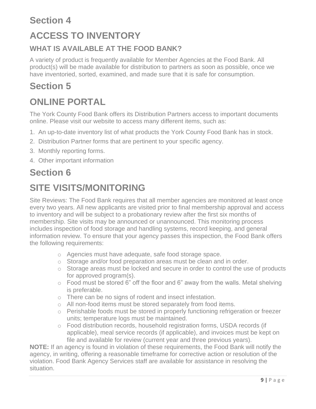# <span id="page-8-0"></span>**Section 4 ACCESS TO INVENTORY**

### **WHAT IS AVAILABLE AT THE FOOD BANK?**

A variety of product is frequently available for Member Agencies at the Food Bank. All product(s) will be made available for distribution to partners as soon as possible, once we have inventoried, sorted, examined, and made sure that it is safe for consumption.

### <span id="page-8-1"></span>**Section 5**

# <span id="page-8-2"></span>**ONLINE PORTAL**

The York County Food Bank offers its Distribution Partners access to important documents online. Please visit our website to access many different items, such as:

- 1. An up-to-date inventory list of what products the York County Food Bank has in stock.
- 2. Distribution Partner forms that are pertinent to your specific agency.
- 3. Monthly reporting forms.
- 4. Other important information

# <span id="page-8-3"></span>**Section 6**

# <span id="page-8-4"></span>**SITE VISITS/MONITORING**

Site Reviews: The Food Bank requires that all member agencies are monitored at least once every two years. All new applicants are visited prior to final membership approval and access to inventory and will be subject to a probationary review after the first six months of membership. Site visits may be announced or unannounced. This monitoring process includes inspection of food storage and handling systems, record keeping, and general information review. To ensure that your agency passes this inspection, the Food Bank offers the following requirements:

- o Agencies must have adequate, safe food storage space.
- o Storage and/or food preparation areas must be clean and in order.
- o Storage areas must be locked and secure in order to control the use of products for approved program(s).
- o Food must be stored 6" off the floor and 6" away from the walls. Metal shelving is preferable.
- o There can be no signs of rodent and insect infestation.
- o All non-food items must be stored separately from food items.
- o Perishable foods must be stored in properly functioning refrigeration or freezer units; temperature logs must be maintained.
- $\circ$  Food distribution records, household registration forms, USDA records (if applicable), meal service records (if applicable), and invoices must be kept on file and available for review (current year and three previous years).

**NOTE:** If an agency is found in violation of these requirements, the Food Bank will notify the agency, in writing, offering a reasonable timeframe for corrective action or resolution of the violation. Food Bank Agency Services staff are available for assistance in resolving the situation.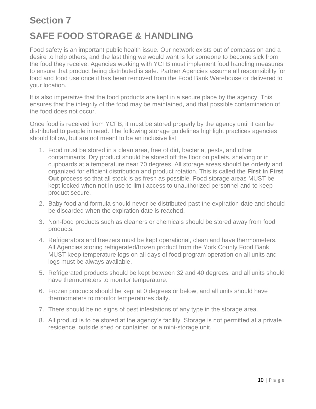# <span id="page-9-0"></span>**Section 7 SAFE FOOD STORAGE & HANDLING**

<span id="page-9-1"></span>Food safety is an important public health issue. Our network exists out of compassion and a desire to help others, and the last thing we would want is for someone to become sick from the food they receive. Agencies working with YCFB must implement food handling measures to ensure that product being distributed is safe. Partner Agencies assume all responsibility for food and food use once it has been removed from the Food Bank Warehouse or delivered to your location.

It is also imperative that the food products are kept in a secure place by the agency. This ensures that the integrity of the food may be maintained, and that possible contamination of the food does not occur.

Once food is received from YCFB, it must be stored properly by the agency until it can be distributed to people in need. The following storage guidelines highlight practices agencies should follow, but are not meant to be an inclusive list:

- 1. Food must be stored in a clean area, free of dirt, bacteria, pests, and other contaminants. Dry product should be stored off the floor on pallets, shelving or in cupboards at a temperature near 70 degrees. All storage areas should be orderly and organized for efficient distribution and product rotation. This is called the **First in First Out** process so that all stock is as fresh as possible. Food storage areas MUST be kept locked when not in use to limit access to unauthorized personnel and to keep product secure.
- 2. Baby food and formula should never be distributed past the expiration date and should be discarded when the expiration date is reached.
- 3. Non-food products such as cleaners or chemicals should be stored away from food products.
- 4. Refrigerators and freezers must be kept operational, clean and have thermometers. All Agencies storing refrigerated/frozen product from the York County Food Bank MUST keep temperature logs on all days of food program operation on all units and logs must be always available.
- 5. Refrigerated products should be kept between 32 and 40 degrees, and all units should have thermometers to monitor temperature.
- 6. Frozen products should be kept at 0 degrees or below, and all units should have thermometers to monitor temperatures daily.
- 7. There should be no signs of pest infestations of any type in the storage area.
- 8. All product is to be stored at the agency's facility. Storage is not permitted at a private residence, outside shed or container, or a mini-storage unit.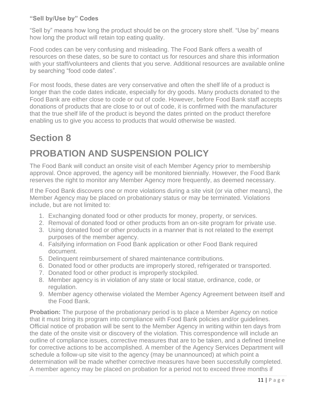### **"Sell by/Use by" Codes**

"Sell by" means how long the product should be on the grocery store shelf. "Use by" means how long the product will retain top eating quality.

Food codes can be very confusing and misleading. The Food Bank offers a wealth of resources on these dates, so be sure to contact us for resources and share this information with your staff/volunteers and clients that you serve. Additional resources are available online by searching "food code dates".

For most foods, these dates are very conservative and often the shelf life of a product is longer than the code dates indicate, especially for dry goods. Many products donated to the Food Bank are either close to code or out of code. However, before Food Bank staff accepts donations of products that are close to or out of code, it is confirmed with the manufacturer that the true shelf life of the product is beyond the dates printed on the product therefore enabling us to give you access to products that would otherwise be wasted.

### <span id="page-10-0"></span>**Section 8**

# <span id="page-10-1"></span>**PROBATION AND SUSPENSION POLICY**

The Food Bank will conduct an onsite visit of each Member Agency prior to membership approval. Once approved, the agency will be monitored biennially. However, the Food Bank reserves the right to monitor any Member Agency more frequently, as deemed necessary.

If the Food Bank discovers one or more violations during a site visit (or via other means), the Member Agency may be placed on probationary status or may be terminated. Violations include, but are not limited to:

- 1. Exchanging donated food or other products for money, property, or services.
- 2. Removal of donated food or other products from an on-site program for private use.
- 3. Using donated food or other products in a manner that is not related to the exempt purposes of the member agency.
- 4. Falsifying information on Food Bank application or other Food Bank required document.
- 5. Delinquent reimbursement of shared maintenance contributions.
- 6. Donated food or other products are improperly stored, refrigerated or transported.
- 7. Donated food or other product is improperly stockpiled.
- 8. Member agency is in violation of any state or local statue, ordinance, code, or regulation.
- 9. Member agency otherwise violated the Member Agency Agreement between itself and the Food Bank.

**Probation:** The purpose of the probationary period is to place a Member Agency on notice that it must bring its program into compliance with Food Bank policies and/or guidelines. Official notice of probation will be sent to the Member Agency in writing within ten days from the date of the onsite visit or discovery of the violation. This correspondence will include an outline of compliance issues, corrective measures that are to be taken, and a defined timeline for corrective actions to be accomplished. A member of the Agency Services Department will schedule a follow-up site visit to the agency (may be unannounced) at which point a determination will be made whether corrective measures have been successfully completed. A member agency may be placed on probation for a period not to exceed three months if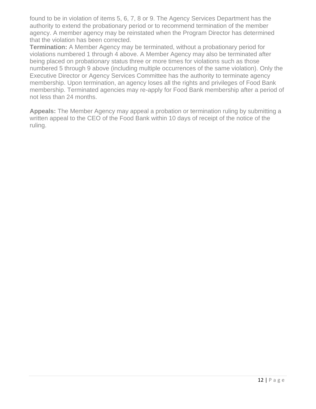found to be in violation of items 5, 6, 7, 8 or 9. The Agency Services Department has the authority to extend the probationary period or to recommend termination of the member agency. A member agency may be reinstated when the Program Director has determined that the violation has been corrected.

**Termination:** A Member Agency may be terminated, without a probationary period for violations numbered 1 through 4 above. A Member Agency may also be terminated after being placed on probationary status three or more times for violations such as those numbered 5 through 9 above (including multiple occurrences of the same violation). Only the Executive Director or Agency Services Committee has the authority to terminate agency membership. Upon termination, an agency loses all the rights and privileges of Food Bank membership. Terminated agencies may re-apply for Food Bank membership after a period of not less than 24 months.

**Appeals:** The Member Agency may appeal a probation or termination ruling by submitting a written appeal to the CEO of the Food Bank within 10 days of receipt of the notice of the ruling.